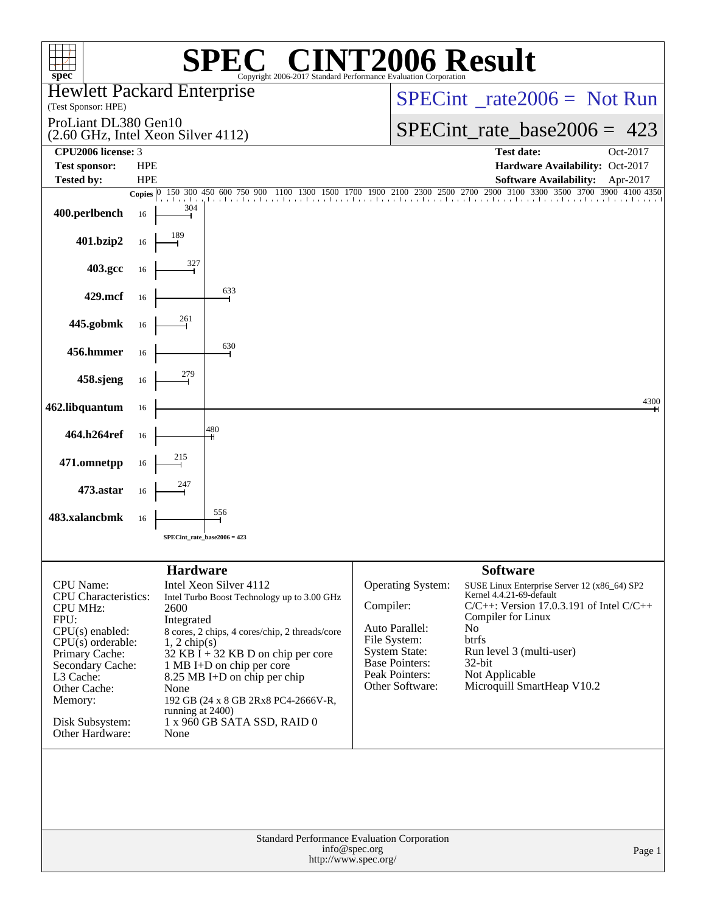| spec <sup>®</sup>                                                                                                                                                                                                            |            |                                                                                             | $\sqrt{P}$<br>Copyright 2006-2017 Standard Performance Evaluation Corporation                                                                                                                                                                                                                      |               |                                                                                                                                           | <b>72006 Result</b>                                                                                                                                                                                                                                                        |
|------------------------------------------------------------------------------------------------------------------------------------------------------------------------------------------------------------------------------|------------|---------------------------------------------------------------------------------------------|----------------------------------------------------------------------------------------------------------------------------------------------------------------------------------------------------------------------------------------------------------------------------------------------------|---------------|-------------------------------------------------------------------------------------------------------------------------------------------|----------------------------------------------------------------------------------------------------------------------------------------------------------------------------------------------------------------------------------------------------------------------------|
| <b>Hewlett Packard Enterprise</b><br>(Test Sponsor: HPE)                                                                                                                                                                     |            |                                                                                             |                                                                                                                                                                                                                                                                                                    |               | $SPECint^{\circ}$ rate $2006 =$ Not Run                                                                                                   |                                                                                                                                                                                                                                                                            |
| ProLiant DL380 Gen10<br>(2.60 GHz, Intel Xeon Silver 4112)                                                                                                                                                                   |            |                                                                                             |                                                                                                                                                                                                                                                                                                    |               | SPECint rate base $2006 = 423$                                                                                                            |                                                                                                                                                                                                                                                                            |
| CPU2006 license: 3                                                                                                                                                                                                           |            |                                                                                             |                                                                                                                                                                                                                                                                                                    |               |                                                                                                                                           | <b>Test date:</b><br>Oct-2017                                                                                                                                                                                                                                              |
| <b>Test sponsor:</b>                                                                                                                                                                                                         | <b>HPE</b> |                                                                                             |                                                                                                                                                                                                                                                                                                    |               |                                                                                                                                           | Hardware Availability: Oct-2017                                                                                                                                                                                                                                            |
| <b>Tested by:</b>                                                                                                                                                                                                            | <b>HPE</b> |                                                                                             |                                                                                                                                                                                                                                                                                                    |               |                                                                                                                                           | Software Availability: Apr-2017<br>Copies 0 150 300 450 600 750 900 1100 1300 1500 1700 1900 2100 2300 2500 2700 2900 3100 3300 3500 3700 3900 4100 4350                                                                                                                   |
| 400.perlbench                                                                                                                                                                                                                | 16         | 304                                                                                         |                                                                                                                                                                                                                                                                                                    |               |                                                                                                                                           |                                                                                                                                                                                                                                                                            |
| 401.bzip2                                                                                                                                                                                                                    | 16         |                                                                                             |                                                                                                                                                                                                                                                                                                    |               |                                                                                                                                           |                                                                                                                                                                                                                                                                            |
| 403.gcc                                                                                                                                                                                                                      | 16         |                                                                                             |                                                                                                                                                                                                                                                                                                    |               |                                                                                                                                           |                                                                                                                                                                                                                                                                            |
| 429.mcf                                                                                                                                                                                                                      | 16         |                                                                                             | 633                                                                                                                                                                                                                                                                                                |               |                                                                                                                                           |                                                                                                                                                                                                                                                                            |
| 445.gobmk                                                                                                                                                                                                                    | 16         | 261                                                                                         |                                                                                                                                                                                                                                                                                                    |               |                                                                                                                                           |                                                                                                                                                                                                                                                                            |
| 456.hmmer                                                                                                                                                                                                                    | 16         |                                                                                             | 630                                                                                                                                                                                                                                                                                                |               |                                                                                                                                           |                                                                                                                                                                                                                                                                            |
| 458.sjeng                                                                                                                                                                                                                    | 16         |                                                                                             |                                                                                                                                                                                                                                                                                                    |               |                                                                                                                                           |                                                                                                                                                                                                                                                                            |
| 462.libquantum                                                                                                                                                                                                               | 16         |                                                                                             |                                                                                                                                                                                                                                                                                                    |               |                                                                                                                                           | 4300                                                                                                                                                                                                                                                                       |
| 464.h264ref                                                                                                                                                                                                                  | 16         |                                                                                             | 480                                                                                                                                                                                                                                                                                                |               |                                                                                                                                           |                                                                                                                                                                                                                                                                            |
| 471.omnetpp                                                                                                                                                                                                                  | 16         | $\frac{215}{1}$                                                                             |                                                                                                                                                                                                                                                                                                    |               |                                                                                                                                           |                                                                                                                                                                                                                                                                            |
| 473.astar                                                                                                                                                                                                                    | 16         |                                                                                             |                                                                                                                                                                                                                                                                                                    |               |                                                                                                                                           |                                                                                                                                                                                                                                                                            |
| 483.xalancbmk                                                                                                                                                                                                                | 16         |                                                                                             | 556                                                                                                                                                                                                                                                                                                |               |                                                                                                                                           |                                                                                                                                                                                                                                                                            |
|                                                                                                                                                                                                                              |            |                                                                                             | SPECint rate base $2006 = 423$                                                                                                                                                                                                                                                                     |               |                                                                                                                                           |                                                                                                                                                                                                                                                                            |
| CPU Name:<br>CPU Characteristics:<br><b>CPU MHz:</b><br>FPU:<br>$CPU(s)$ enabled:<br>$CPU(s)$ orderable:<br>Primary Cache:<br>Secondary Cache:<br>L3 Cache:<br>Other Cache:<br>Memory:<br>Disk Subsystem:<br>Other Hardware: |            | <b>Hardware</b><br>2600<br>Integrated<br>$1, 2$ chip(s)<br>None<br>running at 2400)<br>None | Intel Xeon Silver 4112<br>Intel Turbo Boost Technology up to 3.00 GHz<br>8 cores, 2 chips, 4 cores/chip, 2 threads/core<br>$32$ KB I + 32 KB D on chip per core<br>1 MB I+D on chip per core<br>8.25 MB I+D on chip per chip<br>192 GB (24 x 8 GB 2Rx8 PC4-2666V-R,<br>1 x 960 GB SATA SSD, RAID 0 | Compiler:     | Operating System:<br>Auto Parallel:<br>File System:<br><b>System State:</b><br><b>Base Pointers:</b><br>Peak Pointers:<br>Other Software: | <b>Software</b><br>SUSE Linux Enterprise Server 12 (x86_64) SP2<br>Kernel 4.4.21-69-default<br>$C/C++$ : Version 17.0.3.191 of Intel $C/C++$<br>Compiler for Linux<br>No<br>btrfs<br>Run level 3 (multi-user)<br>$32$ -bit<br>Not Applicable<br>Microquill SmartHeap V10.2 |
|                                                                                                                                                                                                                              |            |                                                                                             | Standard Performance Evaluation Corporation<br>http://www.spec.org/                                                                                                                                                                                                                                | info@spec.org |                                                                                                                                           | Page 1                                                                                                                                                                                                                                                                     |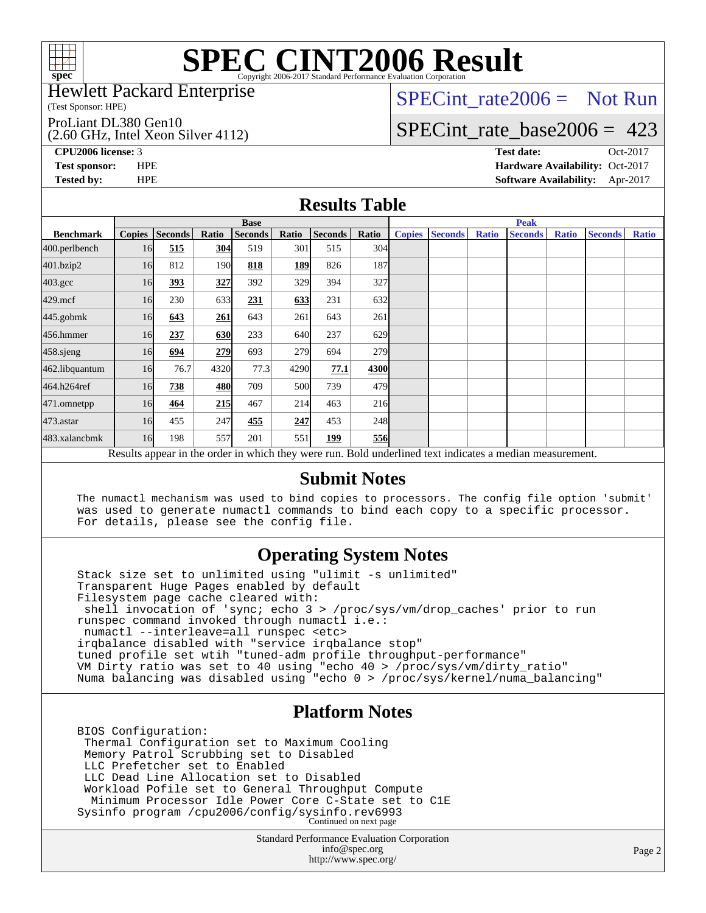

#### Hewlett Packard Enterprise

(Test Sponsor: HPE)

ProLiant DL380 Gen10

(2.60 GHz, Intel Xeon Silver 4112)

SPECint rate $2006 =$  Not Run

## [SPECint\\_rate\\_base2006 =](http://www.spec.org/auto/cpu2006/Docs/result-fields.html#SPECintratebase2006) 423

**[CPU2006 license:](http://www.spec.org/auto/cpu2006/Docs/result-fields.html#CPU2006license)** 3 **[Test date:](http://www.spec.org/auto/cpu2006/Docs/result-fields.html#Testdate)** Oct-2017 **[Test sponsor:](http://www.spec.org/auto/cpu2006/Docs/result-fields.html#Testsponsor)** HPE **[Hardware Availability:](http://www.spec.org/auto/cpu2006/Docs/result-fields.html#HardwareAvailability)** Oct-2017 **[Tested by:](http://www.spec.org/auto/cpu2006/Docs/result-fields.html#Testedby)** HPE **[Software Availability:](http://www.spec.org/auto/cpu2006/Docs/result-fields.html#SoftwareAvailability)** Apr-2017

### **[Results Table](http://www.spec.org/auto/cpu2006/Docs/result-fields.html#ResultsTable)**

|                                                                                                          | <b>Base</b>   |                |       |                |            |                |       |               | <b>Peak</b>    |              |                |              |                |              |  |
|----------------------------------------------------------------------------------------------------------|---------------|----------------|-------|----------------|------------|----------------|-------|---------------|----------------|--------------|----------------|--------------|----------------|--------------|--|
| <b>Benchmark</b>                                                                                         | <b>Copies</b> | <b>Seconds</b> | Ratio | <b>Seconds</b> | Ratio      | <b>Seconds</b> | Ratio | <b>Copies</b> | <b>Seconds</b> | <b>Ratio</b> | <b>Seconds</b> | <b>Ratio</b> | <b>Seconds</b> | <b>Ratio</b> |  |
| 400.perlbench                                                                                            | 16            | 515            | 304   | 519            | 301        | 515            | 304   |               |                |              |                |              |                |              |  |
| 401.bzip2                                                                                                | 16            | 812            | 190   | 818            | <b>189</b> | 826            | 187   |               |                |              |                |              |                |              |  |
| $403.\text{gcc}$                                                                                         | 16            | 393            | 327   | 392            | 329        | 394            | 327   |               |                |              |                |              |                |              |  |
| $429$ .mcf                                                                                               | 16            | 230            | 633   | 231            | 633        | 231            | 632   |               |                |              |                |              |                |              |  |
| $445$ .gobm $k$                                                                                          | 16            | 643            | 261   | 643            | 261        | 643            | 261   |               |                |              |                |              |                |              |  |
| 456.hmmer                                                                                                | 16            | 237            | 630   | 233            | 640        | 237            | 629   |               |                |              |                |              |                |              |  |
| 458.sjeng                                                                                                | 16            | 694            | 279   | 693            | 279        | 694            | 279l  |               |                |              |                |              |                |              |  |
| 462.libquantum                                                                                           | 16            | 76.7           | 4320  | 77.3           | 4290       | 77.1           | 4300  |               |                |              |                |              |                |              |  |
| 464.h264ref                                                                                              | 16            | 738            | 480   | 709            | 500        | 739            | 479   |               |                |              |                |              |                |              |  |
| 471.omnetpp                                                                                              | 16            | 464            | 215   | 467            | 214        | 463            | 216   |               |                |              |                |              |                |              |  |
| $473$ . astar                                                                                            | 16            | 455            | 247   | 455            | 247        | 453            | 248   |               |                |              |                |              |                |              |  |
| 483.xalancbmk                                                                                            | 16            | 198            | 557   | 201            | 551        | 199            | 556   |               |                |              |                |              |                |              |  |
| Results appear in the order in which they were run. Bold underlined text indicates a median measurement. |               |                |       |                |            |                |       |               |                |              |                |              |                |              |  |

### **[Submit Notes](http://www.spec.org/auto/cpu2006/Docs/result-fields.html#SubmitNotes)**

 The numactl mechanism was used to bind copies to processors. The config file option 'submit' was used to generate numactl commands to bind each copy to a specific processor. For details, please see the config file.

### **[Operating System Notes](http://www.spec.org/auto/cpu2006/Docs/result-fields.html#OperatingSystemNotes)**

 Stack size set to unlimited using "ulimit -s unlimited" Transparent Huge Pages enabled by default Filesystem page cache cleared with: shell invocation of 'sync; echo 3 > /proc/sys/vm/drop\_caches' prior to run runspec command invoked through numactl i.e.: numactl --interleave=all runspec <etc> irqbalance disabled with "service irqbalance stop" tuned profile set wtih "tuned-adm profile throughput-performance" VM Dirty ratio was set to 40 using "echo 40 > /proc/sys/vm/dirty\_ratio" Numa balancing was disabled using "echo 0 > /proc/sys/kernel/numa\_balancing"

### **[Platform Notes](http://www.spec.org/auto/cpu2006/Docs/result-fields.html#PlatformNotes)**

 BIOS Configuration: Thermal Configuration set to Maximum Cooling Memory Patrol Scrubbing set to Disabled LLC Prefetcher set to Enabled LLC Dead Line Allocation set to Disabled Workload Pofile set to General Throughput Compute Minimum Processor Idle Power Core C-State set to C1E Sysinfo program /cpu2006/config/sysinfo.rev6993 Continued on next page

> Standard Performance Evaluation Corporation [info@spec.org](mailto:info@spec.org) <http://www.spec.org/>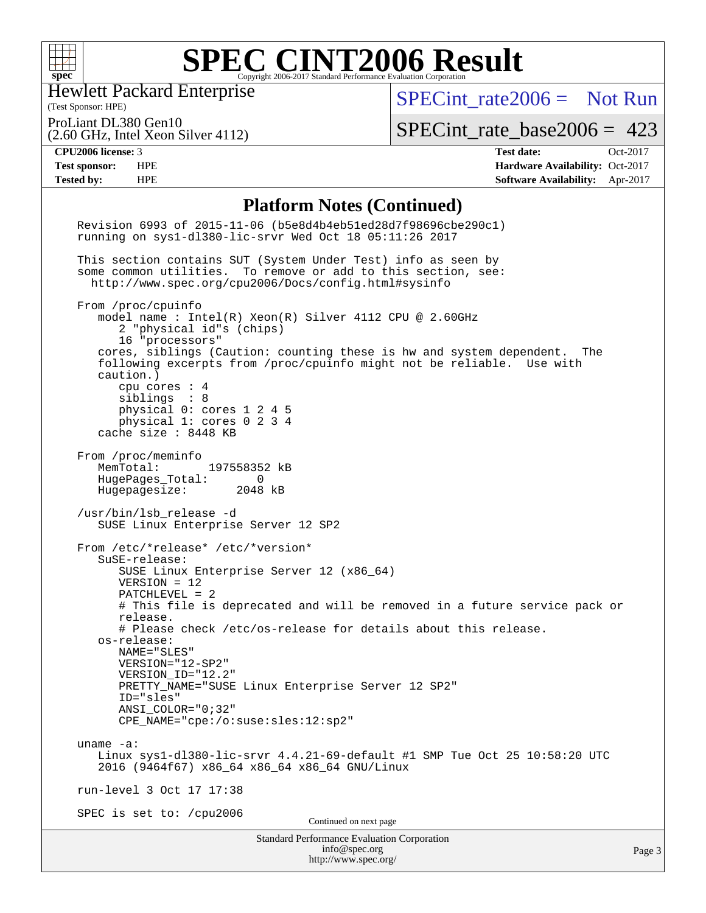

Hewlett Packard Enterprise

(2.60 GHz, Intel Xeon Silver 4112)

(Test Sponsor: HPE)

[SPECint\\_rate2006 =](http://www.spec.org/auto/cpu2006/Docs/result-fields.html#SPECintrate2006) Not Run

ProLiant DL380 Gen10

[SPECint\\_rate\\_base2006 =](http://www.spec.org/auto/cpu2006/Docs/result-fields.html#SPECintratebase2006) 423

**[CPU2006 license:](http://www.spec.org/auto/cpu2006/Docs/result-fields.html#CPU2006license)** 3 **[Test date:](http://www.spec.org/auto/cpu2006/Docs/result-fields.html#Testdate)** Oct-2017 **[Test sponsor:](http://www.spec.org/auto/cpu2006/Docs/result-fields.html#Testsponsor)** HPE **[Hardware Availability:](http://www.spec.org/auto/cpu2006/Docs/result-fields.html#HardwareAvailability)** Oct-2017 **[Tested by:](http://www.spec.org/auto/cpu2006/Docs/result-fields.html#Testedby)** HPE **[Software Availability:](http://www.spec.org/auto/cpu2006/Docs/result-fields.html#SoftwareAvailability)** Apr-2017

### **[Platform Notes \(Continued\)](http://www.spec.org/auto/cpu2006/Docs/result-fields.html#PlatformNotes)**

| <b>Standard Performance Evaluation Corporation</b><br>info@spec.org<br>http://www.spec.org/                                                                                                                                                                                                                                                                                                                       | Page 3 |
|-------------------------------------------------------------------------------------------------------------------------------------------------------------------------------------------------------------------------------------------------------------------------------------------------------------------------------------------------------------------------------------------------------------------|--------|
| SPEC is set to: /cpu2006<br>Continued on next page                                                                                                                                                                                                                                                                                                                                                                |        |
| run-level 3 Oct 17 17:38                                                                                                                                                                                                                                                                                                                                                                                          |        |
| uname $-a$ :<br>Linux sys1-d1380-lic-srvr 4.4.21-69-default #1 SMP Tue Oct 25 10:58:20 UTC<br>2016 (9464f67) x86_64 x86_64 x86_64 GNU/Linux                                                                                                                                                                                                                                                                       |        |
| # Please check /etc/os-release for details about this release.<br>os-release:<br>NAME="SLES"<br>VERSION="12-SP2"<br>VERSION ID="12.2"<br>PRETTY_NAME="SUSE Linux Enterprise Server 12 SP2"<br>ID="sles"<br>ANSI COLOR="0;32"<br>CPE_NAME="cpe:/o:suse:sles:12:sp2"                                                                                                                                                |        |
| From /etc/*release* /etc/*version*<br>SuSE-release:<br>SUSE Linux Enterprise Server 12 (x86_64)<br>$VERSION = 12$<br>PATCHLEVEL = 2<br># This file is deprecated and will be removed in a future service pack or<br>release.                                                                                                                                                                                      |        |
| HugePages_Total: 0<br>Hugepagesize: 2048 kB<br>/usr/bin/lsb_release -d<br>SUSE Linux Enterprise Server 12 SP2                                                                                                                                                                                                                                                                                                     |        |
| From /proc/meminfo<br>MemTotal: 197558352 kB                                                                                                                                                                                                                                                                                                                                                                      |        |
| From /proc/cpuinfo<br>model name : Intel(R) Xeon(R) Silver 4112 CPU @ 2.60GHz<br>2 "physical id"s (chips)<br>16 "processors"<br>cores, siblings (Caution: counting these is hw and system dependent. The<br>following excerpts from /proc/cpuinfo might not be reliable. Use with<br>caution.)<br>cpu cores : 4<br>siblings : 8<br>physical 0: cores 1 2 4 5<br>physical 1: cores 0 2 3 4<br>cache size : 8448 KB |        |
| This section contains SUT (System Under Test) info as seen by<br>some common utilities. To remove or add to this section, see:<br>http://www.spec.org/cpu2006/Docs/config.html#sysinfo                                                                                                                                                                                                                            |        |
| Revision 6993 of 2015-11-06 (b5e8d4b4eb51ed28d7f98696cbe290c1)<br>running on sys1-d1380-lic-srvr Wed Oct 18 05:11:26 2017                                                                                                                                                                                                                                                                                         |        |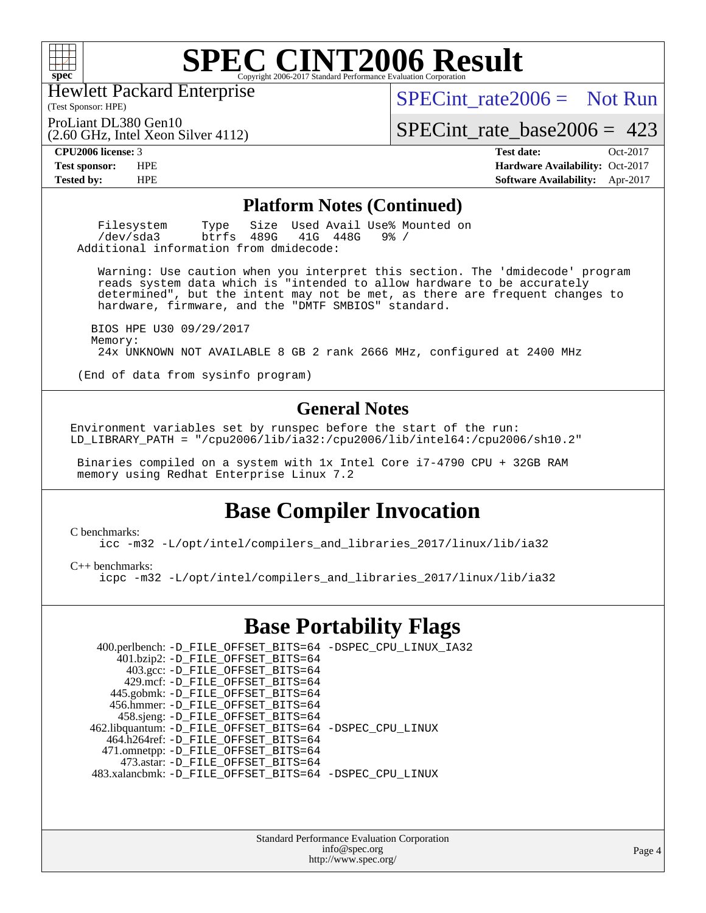

Hewlett Packard Enterprise

(2.60 GHz, Intel Xeon Silver 4112)

(Test Sponsor: HPE)

[SPECint\\_rate2006 =](http://www.spec.org/auto/cpu2006/Docs/result-fields.html#SPECintrate2006) Not Run

ProLiant DL380 Gen10

SPECint rate base  $2006 = 423$ 

**[CPU2006 license:](http://www.spec.org/auto/cpu2006/Docs/result-fields.html#CPU2006license)** 3 **[Test date:](http://www.spec.org/auto/cpu2006/Docs/result-fields.html#Testdate)** Oct-2017 **[Test sponsor:](http://www.spec.org/auto/cpu2006/Docs/result-fields.html#Testsponsor)** HPE **[Hardware Availability:](http://www.spec.org/auto/cpu2006/Docs/result-fields.html#HardwareAvailability)** Oct-2017 **[Tested by:](http://www.spec.org/auto/cpu2006/Docs/result-fields.html#Testedby)** HPE **[Software Availability:](http://www.spec.org/auto/cpu2006/Docs/result-fields.html#SoftwareAvailability)** Apr-2017

#### **[Platform Notes \(Continued\)](http://www.spec.org/auto/cpu2006/Docs/result-fields.html#PlatformNotes)**

Filesystem Type Size Used Avail Use% Mounted on<br>
/dev/sda3 btrfs 489G 41G 448G 9% /  $/\text{dev/sda}$ 3 Additional information from dmidecode:

 Warning: Use caution when you interpret this section. The 'dmidecode' program reads system data which is "intended to allow hardware to be accurately determined", but the intent may not be met, as there are frequent changes to hardware, firmware, and the "DMTF SMBIOS" standard.

 BIOS HPE U30 09/29/2017 Memory: 24x UNKNOWN NOT AVAILABLE 8 GB 2 rank 2666 MHz, configured at 2400 MHz

(End of data from sysinfo program)

### **[General Notes](http://www.spec.org/auto/cpu2006/Docs/result-fields.html#GeneralNotes)**

Environment variables set by runspec before the start of the run: LD\_LIBRARY\_PATH = "/cpu2006/lib/ia32:/cpu2006/lib/intel64:/cpu2006/sh10.2"

 Binaries compiled on a system with 1x Intel Core i7-4790 CPU + 32GB RAM memory using Redhat Enterprise Linux 7.2

### **[Base Compiler Invocation](http://www.spec.org/auto/cpu2006/Docs/result-fields.html#BaseCompilerInvocation)**

[C benchmarks](http://www.spec.org/auto/cpu2006/Docs/result-fields.html#Cbenchmarks):

[icc -m32 -L/opt/intel/compilers\\_and\\_libraries\\_2017/linux/lib/ia32](http://www.spec.org/cpu2006/results/res2017q4/cpu2006-20171031-50479.flags.html#user_CCbase_intel_icc_c29f3ff5a7ed067b11e4ec10a03f03ae)

[C++ benchmarks:](http://www.spec.org/auto/cpu2006/Docs/result-fields.html#CXXbenchmarks)

[icpc -m32 -L/opt/intel/compilers\\_and\\_libraries\\_2017/linux/lib/ia32](http://www.spec.org/cpu2006/results/res2017q4/cpu2006-20171031-50479.flags.html#user_CXXbase_intel_icpc_8c35c7808b62dab9ae41a1aa06361b6b)

### **[Base Portability Flags](http://www.spec.org/auto/cpu2006/Docs/result-fields.html#BasePortabilityFlags)**

| 400.perlbench: -D_FILE_OFFSET_BITS=64 -DSPEC_CPU_LINUX_IA32 |
|-------------------------------------------------------------|
|                                                             |
|                                                             |
|                                                             |
|                                                             |
|                                                             |
|                                                             |
|                                                             |
| 462.libquantum: -D_FILE_OFFSET_BITS=64 -DSPEC_CPU_LINUX     |
|                                                             |
|                                                             |
|                                                             |
| 483.xalancbmk: -D FILE OFFSET BITS=64 -DSPEC CPU LINUX      |
|                                                             |

Standard Performance Evaluation Corporation [info@spec.org](mailto:info@spec.org) <http://www.spec.org/>